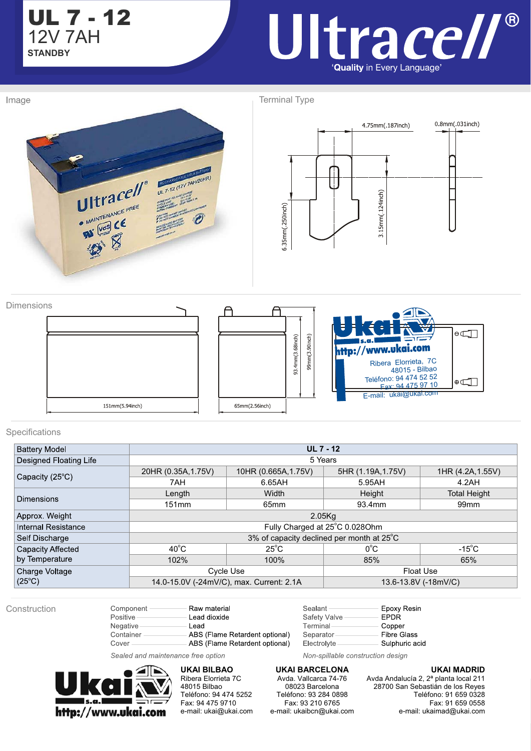

## Ultrace//® 'Quality in Every Language'

Image

Terminal Type



Dimensions A  $\theta$ 93.4mm(3.68inch) 99mm(3.90inch) http://www.ukai.com Ribera Elorrieta, 7C 48015 - Bilbao Teléfono: <sup>94</sup> <sup>474</sup> <sup>52</sup> <sup>52</sup> Fax: 94 475 97 10  $\oplus \Box$ E-mail: ukai@ukai.com 151mm(5.94inch) 65mm(2.56inch)

#### Specifications

| <b>Battery Model</b>       | $UL7 - 12$                                |                                          |                                                                                                                                 |                     |  |  |
|----------------------------|-------------------------------------------|------------------------------------------|---------------------------------------------------------------------------------------------------------------------------------|---------------------|--|--|
| Designed Floating Life     | 5 Years                                   |                                          |                                                                                                                                 |                     |  |  |
| Capacity $(25^{\circ}C)$   | 20HR (0.35A, 1.75V)                       | 10HR (0.665A, 1.75V)                     |                                                                                                                                 | 1HR (4.2A, 1.55V)   |  |  |
|                            | 7AH                                       | 6.65AH                                   | 5HR (1.19A, 1.75V)<br>5.95AH<br>4.2AH<br>Height<br>93.4mm<br>99 <sub>mm</sub><br>$0^{\circ}$ C<br>$-15^{\circ}$ C<br>85%<br>65% |                     |  |  |
| <b>Dimensions</b>          | Length                                    | Width                                    |                                                                                                                                 | <b>Total Height</b> |  |  |
|                            | 151mm                                     | 65mm                                     |                                                                                                                                 |                     |  |  |
| Approx. Weight             | 2.05Kq                                    |                                          |                                                                                                                                 |                     |  |  |
| <b>Internal Resistance</b> | Fully Charged at 25°C 0.028Ohm            |                                          |                                                                                                                                 |                     |  |  |
| Self Discharge             | 3% of capacity declined per month at 25°C |                                          |                                                                                                                                 |                     |  |  |
| Capacity Affected          | $40^{\circ}$ C                            | $25^{\circ}$ C                           |                                                                                                                                 |                     |  |  |
| by Temperature             | 102%                                      | 100%                                     |                                                                                                                                 |                     |  |  |
| Charge Voltage             |                                           | Cycle Use                                | Float Use                                                                                                                       |                     |  |  |
| $(25^{\circ}C)$            |                                           | 14.0-15.0V (-24mV/C), max. Current: 2.1A | 13.6-13.8V (-18mV/C)                                                                                                            |                     |  |  |

Construction

| Component<br><b>Positive</b> | Raw material<br>Lead dioxide   |
|------------------------------|--------------------------------|
| <b>Negative</b>              | Lead                           |
| Container                    | ABS (Flame Retardent optional) |
| Cover                        | ABS (Flame Retardent optional) |

Sealant Epoxy Resin Safety Valve **EPDR** Terminal Copper Separator **Fibre Glass** Electrolyte Sulphuric acid

Non-spillable construction design

Sealed and maintenance free option



Cover

**UKAI BILBAO**  Ribera Elorrieta 7C 48015 Bilbao Teléfono: 94 474 5252 Fax: 94 475 9710 e-mail: ukai@ukai.com

**UKAI BARCELONA**  Avda. Vallcarca 74-76 08023 Barcelona Teléfono: 93 284 0898 Fax: 93 210 6765 e-mail: ukaibcn@ukai.com

**UKAI MADRID**  Avda Andalucía 2, 2ª planta local 211

28700 San Sebastián de los Reyes Teléfono: 91 659 0328 Fax: 91 659 0558 e-mail: ukaimad@ukai.com